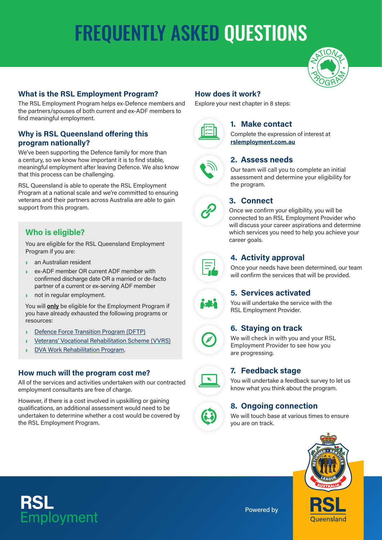# FREQUENTLY ASKED QUESTIONS



## **What is the RSL Employment Program?**

The RSL Employment Program helps ex-Defence members and the partners/spouses of both current and ex-ADF members to find meaningful employment.

### **Why is RSL Queensland offering this program nationally?**

We've been supporting the Defence family for more than a century, so we know how important it is to find stable, meaningful employment after leaving Defence. We also know that this process can be challenging.

RSL Queensland is able to operate the RSL Employment Program at a national scale and we're committed to ensuring veterans and their partners across Australia are able to gain support from this program.

# **Who is eligible?**

You are eligible for the RSL Queensland Employment Program if you are:

- ›an Australian resident
- ›ex-ADF member OR current ADF member with confirmed discharge date OR a married or de-facto partner of a current or ex-serving ADF member
- **b** not in regular employment.

You will **only** be eligible for the Employment Program if you have already exhausted the following programs or resources:

- ›[Defence Force Transition Program \(DFTP\)](https://www.defence.gov.au/members-families/Transition/YourTransition/DFTP.asp)
- ›[Veterans' Vocational Rehabilitation Scheme \(VVRS\)](https://www.dva.gov.au/factsheet-hsv108-veterans-vocational-rehabilitation-scheme-vvrs)
- ›[DVA Work Rehabilitation Program.](https://www.dva.gov.au/health-and-wellbeing/rehabilitation)

### **How much will the program cost me?**

All of the services and activities undertaken with our contracted employment consultants are free of charge.

However, if there is a cost involved in upskilling or gaining qualifications, an additional assessment would need to be undertaken to determine whether a cost would be covered by the RSL Employment Program.



Explore your next chapter in 8 steps:



## **1. Make contact**

Complete the expression of interest at **[rslemployment](www.rslemployment.com.au).com.au**

# **2. Assess needs**

Our team will call you to complete an initial assessment and determine your eligibility for the program.



# **3. Connect**

Once we confirm your eligibility, you will be connected to an RSL Employment Provider who will discuss your career aspirations and determine which services you need to help you achieve your career goals.



## **4. Activity approval**

Once your needs have been determined, our team will confirm the services that will be provided.



# **5. Services activated**

You will undertake the service with the RSL Employment Provider.

## **6. Staying on track**

We will check in with you and your RSL Employment Provider to see how you are progressing.



Ø

## **7. Feedback stage**

You will undertake a feedback survey to let us know what you think about the program.

## **8. Ongoing connection**

We will touch base at various times to ensure you are on track.



Powered by